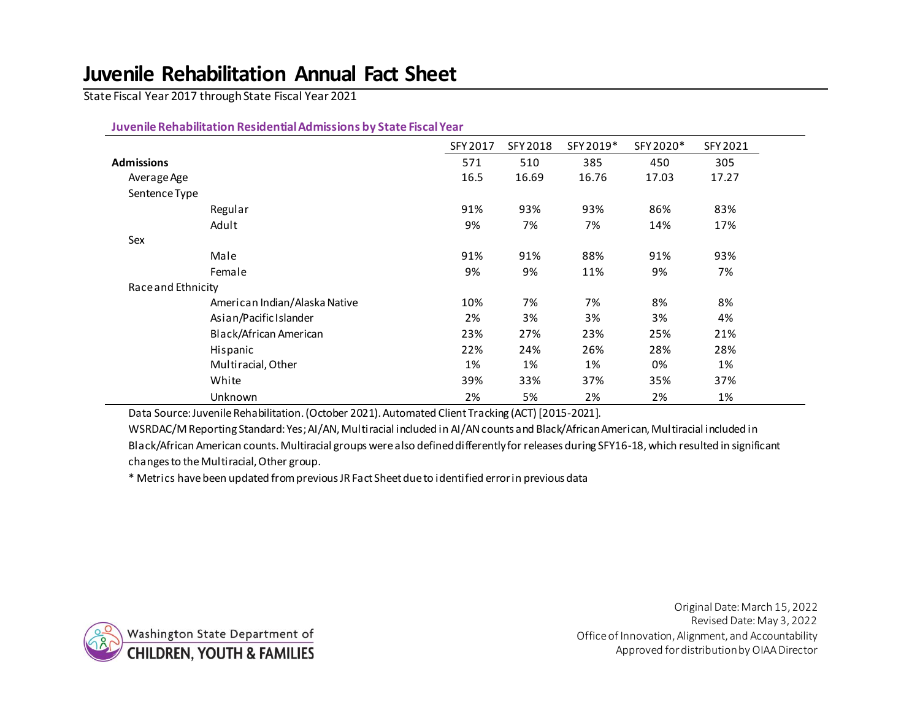# **Juvenile Rehabilitation Annual Fact Sheet**

State Fiscal Year 2017 through State Fiscal Year 2021

#### **Juvenile Rehabilitation Residential Admissions by State Fiscal Year**

|                    |                               | SFY 2017 | SFY 2018 | SFY 2019* | SFY 2020* | SFY 2021 |
|--------------------|-------------------------------|----------|----------|-----------|-----------|----------|
| Admissions         |                               | 571      | 510      | 385       | 450       | 305      |
| Average Age        |                               | 16.5     | 16.69    | 16.76     | 17.03     | 17.27    |
| Sentence Type      |                               |          |          |           |           |          |
|                    | Regular                       | 91%      | 93%      | 93%       | 86%       | 83%      |
|                    | Adult                         | 9%       | 7%       | 7%        | 14%       | 17%      |
| Sex                |                               |          |          |           |           |          |
|                    | Male                          | 91%      | 91%      | 88%       | 91%       | 93%      |
|                    | Female                        | 9%       | 9%       | 11%       | 9%        | 7%       |
| Race and Ethnicity |                               |          |          |           |           |          |
|                    | American Indian/Alaska Native | 10%      | 7%       | 7%        | 8%        | 8%       |
|                    | Asian/Pacific Islander        | 2%       | 3%       | 3%        | 3%        | 4%       |
|                    | Black/African American        | 23%      | 27%      | 23%       | 25%       | 21%      |
|                    | Hispanic                      | 22%      | 24%      | 26%       | 28%       | 28%      |
|                    | Multiracial, Other            | 1%       | 1%       | 1%        | 0%        | 1%       |
|                    | White                         | 39%      | 33%      | 37%       | 35%       | 37%      |
|                    | Unknown                       | 2%       | 5%       | 2%        | 2%        | 1%       |

Data Source: Juvenile Rehabilitation. (October 2021). Automated Client Tracking (ACT) [2015-2021].

WSRDAC/M Reporting Standard: Yes; AI/AN, Multiracial included in AI/AN counts and Black/African American, Multiracial included in Black/African American counts. Multiracial groups were also defined differently for releases during SFY16-18, which resulted in significant changes to the Multiracial, Other group.

\* Metrics have been updated from previous JR Fact Sheet due to identified error in previous data



Original Date: March 15, 2022 Revised Date: May 3, 2022 Office of Innovation, Alignment, and Accountability Approved for distribution by OIAA Director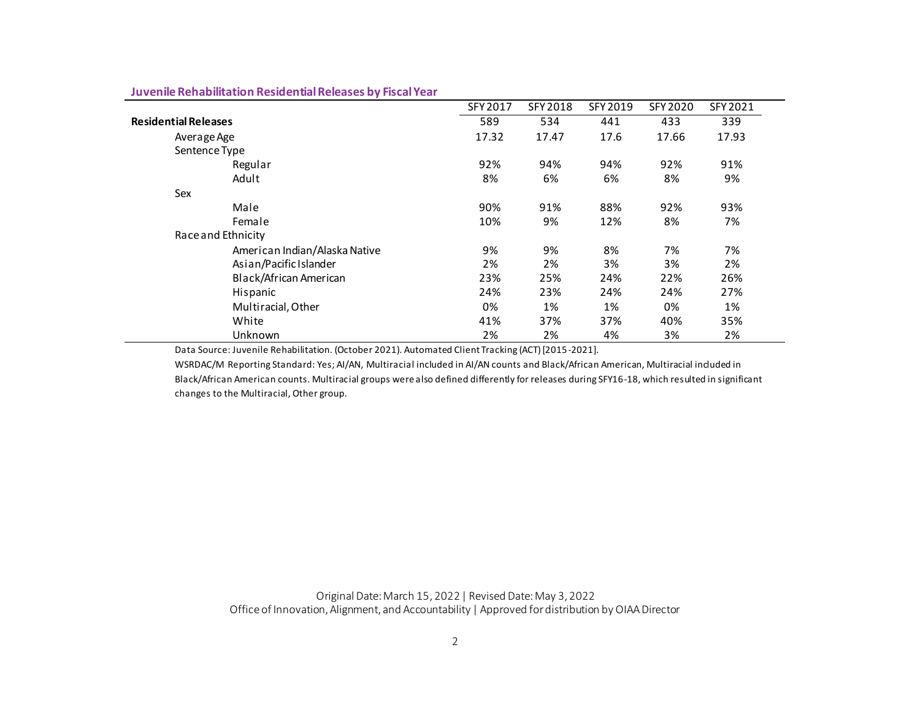|                               | SFY 2017 | SFY 2018 | SFY 2019 | SFY 2020 | SFY 2021 |
|-------------------------------|----------|----------|----------|----------|----------|
| <b>Residential Releases</b>   |          | 534      | 441      | 433      | 339      |
| Average Age                   |          | 17.47    | 17.6     | 17.66    | 17.93    |
| Sentence Type                 |          |          |          |          |          |
| Regular                       | 92%      | 94%      | 94%      | 92%      | 91%      |
| Adult                         | 8%       | 6%       | 6%       | 8%       | 9%       |
| Sex                           |          |          |          |          |          |
| Male                          | 90%      | 91%      | 88%      | 92%      | 93%      |
| Female                        | 10%      | 9%       | 12%      | 8%       | 7%       |
| Race and Ethnicity            |          |          |          |          |          |
| American Indian/Alaska Native | 9%       | 9%       | 8%       | 7%       | 7%       |
| Asian/Pacific Islander        | 2%       | 2%       | 3%       | 3%       | 2%       |
| Black/African American        | 23%      | 25%      | 24%      | 22%      | 26%      |
| Hispanic                      | 24%      | 23%      | 24%      | 24%      | 27%      |
| Multiracial, Other            | 0%       | 1%       | 1%       | 0%       | 1%       |
| White                         | 41%      | 37%      | 37%      | 40%      | 35%      |
| Unknown                       | 2%       | 2%       | 4%       | 3%       | 2%       |

### **Juvenile Rehabilitation Residential Releases by Fiscal Year**

Data Source: Juvenile Rehabilitation. (October 2021). Automated Client Tracking (ACT) [2015-2021].

WSRDAC/M Reporting Standard: Yes; AI/AN, Multiracial included in AI/AN counts and Black/African American, Multiracial included in Black/African American counts. Multiracial groups were also defined differently for releases during SFY16-18, which resulted in significant changes to the Multiracial, Other group.

Original Date: March 15, 2022| Revised Date: May 3, 2022 Office of Innovation, Alignment, and Accountability | Approved for distribution by OIAA Director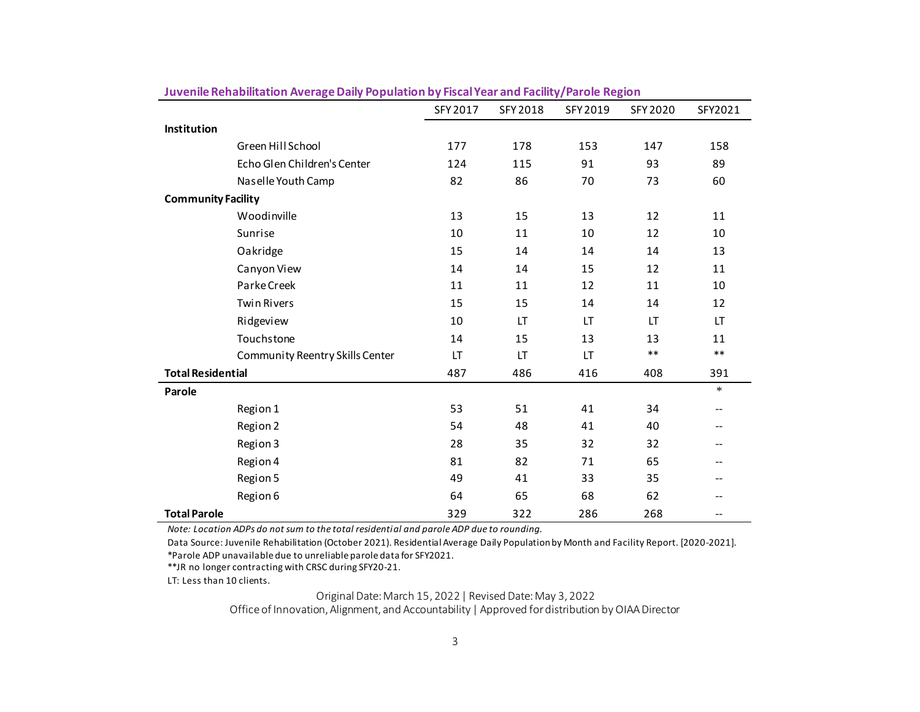|                           |                                 | SFY 2017 | SFY 2018 | SFY 2019 | SFY 2020 | SFY2021 |
|---------------------------|---------------------------------|----------|----------|----------|----------|---------|
| Institution               |                                 |          |          |          |          |         |
|                           | Green Hill School               | 177      | 178      | 153      | 147      | 158     |
|                           | Echo Glen Children's Center     | 124      | 115      | 91       | 93       | 89      |
|                           | Naselle Youth Camp              | 82       | 86       | 70       | 73       | 60      |
| <b>Community Facility</b> |                                 |          |          |          |          |         |
|                           | Woodinville                     | 13       | 15       | 13       | 12       | 11      |
|                           | Sunrise                         | 10       | 11       | 10       | 12       | 10      |
|                           | Oakridge                        | 15       | 14       | 14       | 14       | 13      |
|                           | Canyon View                     | 14       | 14       | 15       | 12       | 11      |
|                           | Parke Creek                     | 11       | 11       | 12       | 11       | 10      |
|                           | <b>Twin Rivers</b>              | 15       | 15       | 14       | 14       | 12      |
|                           | Ridgeview                       | 10       | LT       | LT       | LT       | LT      |
|                           | Touchstone                      | 14       | 15       | 13       | 13       | 11      |
|                           | Community Reentry Skills Center | LT       | LT       | LT       | $***$    | $***$   |
| <b>Total Residential</b>  |                                 | 487      | 486      | 416      | 408      | 391     |
| Parole                    |                                 |          |          |          |          | $\ast$  |
|                           | Region 1                        | 53       | 51       | 41       | 34       | --      |
|                           | Region 2                        | 54       | 48       | 41       | 40       | --      |
|                           | Region 3                        | 28       | 35       | 32       | 32       | --      |
|                           | Region 4                        | 81       | 82       | 71       | 65       | --      |
|                           | Region 5                        | 49       | 41       | 33       | 35       | --      |
|                           | Region 6                        | 64       | 65       | 68       | 62       | --      |
| <b>Total Parole</b>       |                                 | 329      | 322      | 286      | 268      | --      |

**Juvenile Rehabilitation Average Daily Population by Fiscal Year and Facility/Parole Region**

*Note: Location ADPs do not sum to the total residential and parole ADP due to rounding.*

Data Source: Juvenile Rehabilitation (October 2021). Residential Average Daily Population by Month and Facility Report. [2020-2021]. \*Parole ADP unavailable due to unreliable parole data for SFY2021.

\*\*JR no longer contracting with CRSC during SFY20-21.

LT: Less than 10 clients.

Original Date: March 15, 2022| Revised Date: May 3, 2022

Office of Innovation, Alignment, and Accountability | Approved for distribution by OIAA Director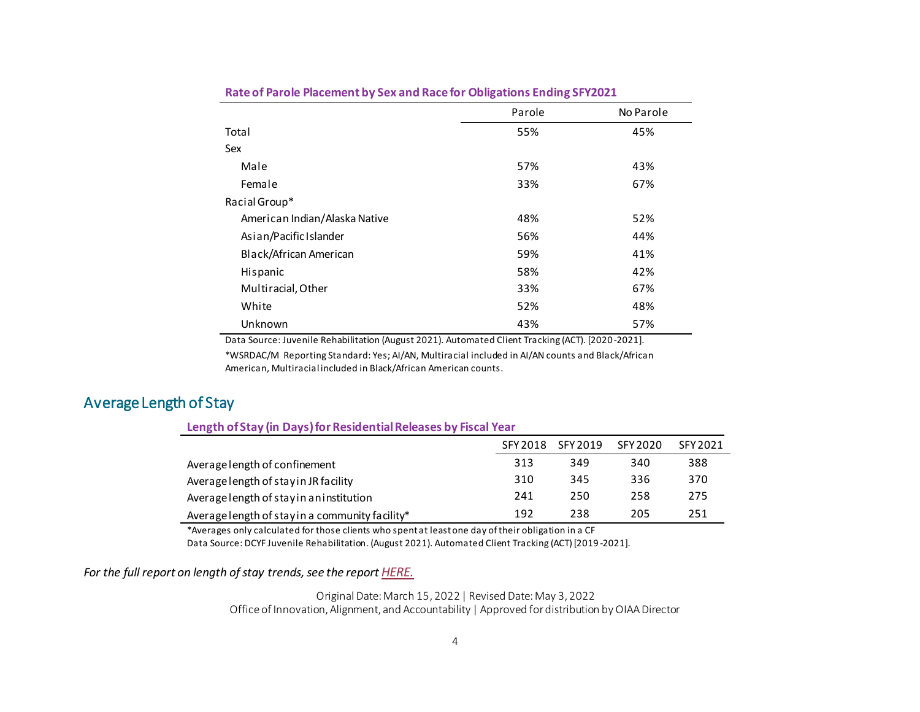|                               | Parole | No Parole |
|-------------------------------|--------|-----------|
| Total                         | 55%    | 45%       |
| Sex                           |        |           |
| Male                          | 57%    | 43%       |
| Female                        | 33%    | 67%       |
| Racial Group*                 |        |           |
| American Indian/Alaska Native | 48%    | 52%       |
| Asian/Pacific Islander        | 56%    | 44%       |
| Black/African American        | 59%    | 41%       |
| Hispanic                      | 58%    | 42%       |
| Multiracial, Other            | 33%    | 67%       |
| White                         | 52%    | 48%       |
| Unknown                       | 43%    | 57%       |

#### **Rate of Parole Placement by Sex and Race for Obligations Ending SFY2021**

Data Source: Juvenile Rehabilitation (August 2021). Automated Client Tracking (ACT). [2020 -2021].

\*WSRDAC/M Reporting Standard: Yes; AI/AN, Multiracial included in AI/AN counts and Black/African American, Multiracial included in Black/African American counts.

## Average Length of Stay

#### **Length of Stay (in Days) for Residential Releases by Fiscal Year**

|                                                 | SFY 2018 | SFY 2019 | SFY 2020 | SFY 2021 |
|-------------------------------------------------|----------|----------|----------|----------|
| Average length of confinement                   | 313      | 349      | 340      | 388      |
| Average length of stay in JR facility           | 310      | 345      | 336      | 370      |
| Average length of stay in an institution        | 241      | 250      | 258      | 275      |
| Average length of stay in a community facility* | 192      | 238      | 205      | 251      |

\*Averages only calculated for those clients who spent at least one day of their obligation in a CF

Data Source: DCYF Juvenile Rehabilitation. (August 2021). Automated Client Tracking (ACT) [2019 -2021].

*For the full report on length of stay trends, see the report [HERE.](https://dcyf.wa.gov/sites/default/files/pubs/IAA_0003.pdf)* 

Original Date: March 15, 2022| Revised Date: May 3, 2022 Office of Innovation, Alignment, and Accountability | Approved for distribution by OIAA Director